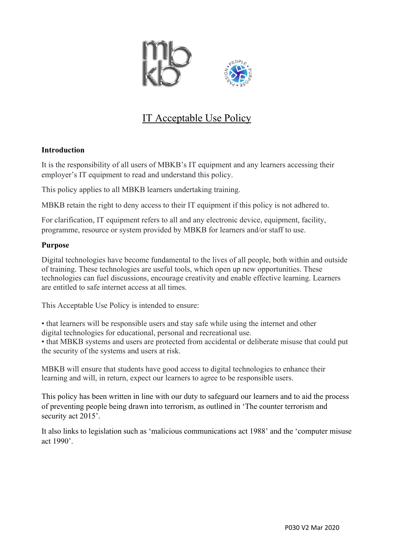



# IT Acceptable Use Policy

## **Introduction**

It is the responsibility of all users of MBKB's IT equipment and any learners accessing their employer's IT equipment to read and understand this policy.

This policy applies to all MBKB learners undertaking training.

MBKB retain the right to deny access to their IT equipment if this policy is not adhered to.

For clarification, IT equipment refers to all and any electronic device, equipment, facility, programme, resource or system provided by MBKB for learners and/or staff to use.

## **Purpose**

Digital technologies have become fundamental to the lives of all people, both within and outside of training. These technologies are useful tools, which open up new opportunities. These technologies can fuel discussions, encourage creativity and enable effective learning. Learners are entitled to safe internet access at all times.

This Acceptable Use Policy is intended to ensure:

• that learners will be responsible users and stay safe while using the internet and other digital technologies for educational, personal and recreational use.

• that MBKB systems and users are protected from accidental or deliberate misuse that could put the security of the systems and users at risk.

MBKB will ensure that students have good access to digital technologies to enhance their learning and will, in return, expect our learners to agree to be responsible users.

This policy has been written in line with our duty to safeguard our learners and to aid the process of preventing people being drawn into terrorism, as outlined in 'The counter terrorism and security act 2015'.

It also links to legislation such as 'malicious communications act 1988' and the 'computer misuse act 1990'.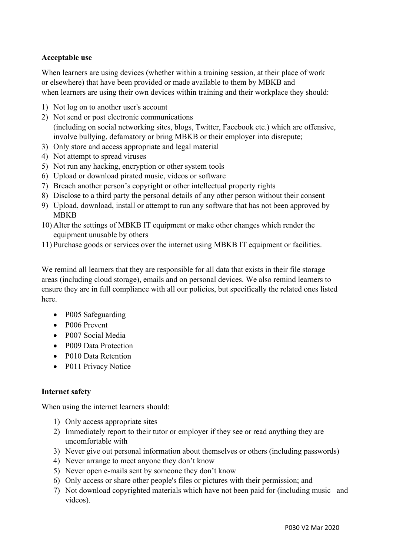### **Acceptable use**

When learners are using devices (whether within a training session, at their place of work or elsewhere) that have been provided or made available to them by MBKB and when learners are using their own devices within training and their workplace they should:

- 1) Not log on to another user's account
- 2) Not send or post electronic communications (including on social networking sites, blogs, Twitter, Facebook etc.) which are offensive, involve bullying, defamatory or bring MBKB or their employer into disrepute;
- 3) Only store and access appropriate and legal material
- 4) Not attempt to spread viruses
- 5) Not run any hacking, encryption or other system tools
- 6) Upload or download pirated music, videos or software
- 7) Breach another person's copyright or other intellectual property rights
- 8) Disclose to a third party the personal details of any other person without their consent
- 9) Upload, download, install or attempt to run any software that has not been approved by MBKB
- 10) Alter the settings of MBKB IT equipment or make other changes which render the equipment unusable by others
- 11) Purchase goods or services over the internet using MBKB IT equipment or facilities.

We remind all learners that they are responsible for all data that exists in their file storage areas (including cloud storage), emails and on personal devices. We also remind learners to ensure they are in full compliance with all our policies, but specifically the related ones listed here.

- P005 Safeguarding
- P006 Prevent
- P007 Social Media
- P009 Data Protection
- P010 Data Retention
- P011 Privacy Notice

#### **Internet safety**

When using the internet learners should:

- 1) Only access appropriate sites
- 2) Immediately report to their tutor or employer if they see or read anything they are uncomfortable with
- 3) Never give out personal information about themselves or others (including passwords)
- 4) Never arrange to meet anyone they don't know
- 5) Never open e-mails sent by someone they don't know
- 6) Only access or share other people's files or pictures with their permission; and
- 7) Not download copyrighted materials which have not been paid for (including music and videos).